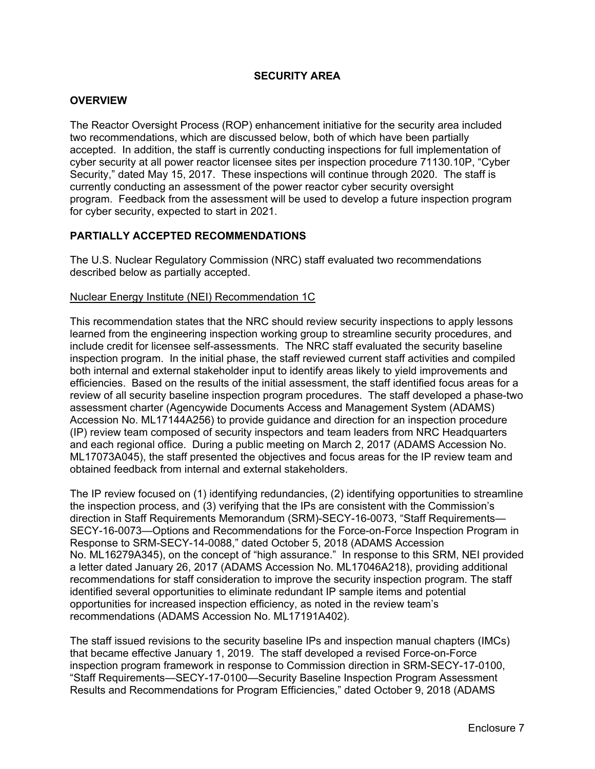# **SECURITY AREA**

### **OVERVIEW**

The Reactor Oversight Process (ROP) enhancement initiative for the security area included two recommendations, which are discussed below, both of which have been partially accepted. In addition, the staff is currently conducting inspections for full implementation of cyber security at all power reactor licensee sites per inspection procedure 71130.10P, "Cyber Security," dated May 15, 2017. These inspections will continue through 2020. The staff is currently conducting an assessment of the power reactor cyber security oversight program. Feedback from the assessment will be used to develop a future inspection program for cyber security, expected to start in 2021.

## **PARTIALLY ACCEPTED RECOMMENDATIONS**

The U.S. Nuclear Regulatory Commission (NRC) staff evaluated two recommendations described below as partially accepted.

#### Nuclear Energy Institute (NEI) Recommendation 1C

This recommendation states that the NRC should review security inspections to apply lessons learned from the engineering inspection working group to streamline security procedures, and include credit for licensee self-assessments. The NRC staff evaluated the security baseline inspection program. In the initial phase, the staff reviewed current staff activities and compiled both internal and external stakeholder input to identify areas likely to yield improvements and efficiencies. Based on the results of the initial assessment, the staff identified focus areas for a review of all security baseline inspection program procedures. The staff developed a phase-two assessment charter (Agencywide Documents Access and Management System (ADAMS) Accession No. ML17144A256) to provide guidance and direction for an inspection procedure (IP) review team composed of security inspectors and team leaders from NRC Headquarters and each regional office. During a public meeting on March 2, 2017 (ADAMS Accession No. ML17073A045), the staff presented the objectives and focus areas for the IP review team and obtained feedback from internal and external stakeholders.

The IP review focused on (1) identifying redundancies, (2) identifying opportunities to streamline the inspection process, and (3) verifying that the IPs are consistent with the Commission's direction in Staff Requirements Memorandum (SRM)-SECY-16-0073, "Staff Requirements— SECY-16-0073—Options and Recommendations for the Force-on-Force Inspection Program in Response to SRM-SECY-14-0088," dated October 5, 2018 (ADAMS Accession No. ML16279A345), on the concept of "high assurance." In response to this SRM, NEI provided a letter dated January 26, 2017 (ADAMS Accession No. ML17046A218), providing additional recommendations for staff consideration to improve the security inspection program. The staff identified several opportunities to eliminate redundant IP sample items and potential opportunities for increased inspection efficiency, as noted in the review team's recommendations (ADAMS Accession No. ML17191A402).

The staff issued revisions to the security baseline IPs and inspection manual chapters (IMCs) that became effective January 1, 2019. The staff developed a revised Force-on-Force inspection program framework in response to Commission direction in SRM-SECY-17-0100, "Staff Requirements—SECY-17-0100—Security Baseline Inspection Program Assessment Results and Recommendations for Program Efficiencies," dated October 9, 2018 (ADAMS